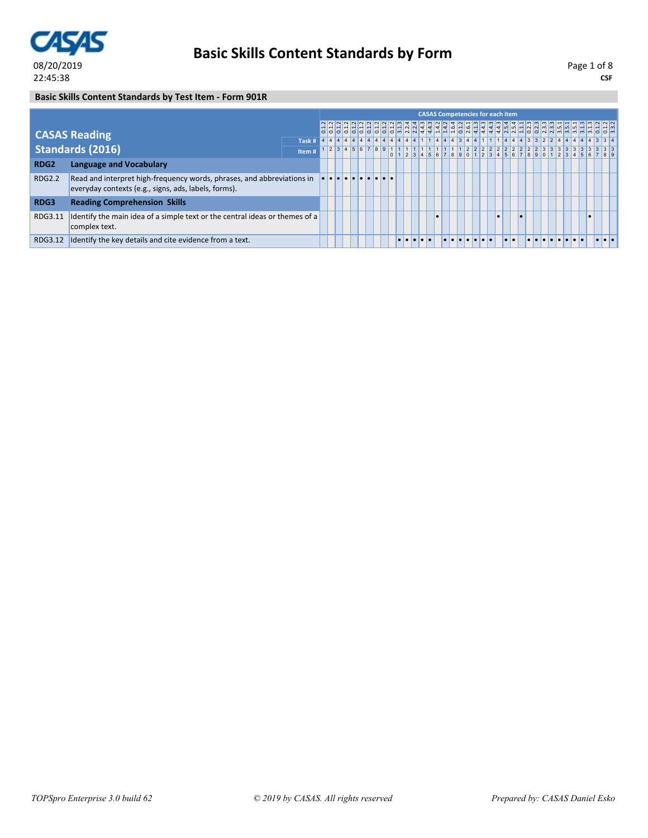

**CSF** Page 1 of 8

### **Basic Skills Content Standards by Test Item - Form 901R**

|                  |                                                                                                                                |                                                                                      |  |  |  |  |  |  | <b>CASAS Competencies for each item</b> |  |           |  |  |  |  |           |  |
|------------------|--------------------------------------------------------------------------------------------------------------------------------|--------------------------------------------------------------------------------------|--|--|--|--|--|--|-----------------------------------------|--|-----------|--|--|--|--|-----------|--|
|                  | <b>CASAS Reading</b>                                                                                                           |                                                                                      |  |  |  |  |  |  |                                         |  |           |  |  |  |  |           |  |
|                  |                                                                                                                                | Task # 4 4 4 4 4 4 4 4 4 4 4 4 4 1 1 4 4 4 3 4 4 1 1 1 4 4 4 3 3 2 2 4 4 4 4 4 3 3 4 |  |  |  |  |  |  |                                         |  |           |  |  |  |  |           |  |
|                  | <b>Standards (2016)</b>                                                                                                        | Item #                                                                               |  |  |  |  |  |  |                                         |  |           |  |  |  |  |           |  |
| RDG <sub>2</sub> | <b>Language and Vocabulary</b>                                                                                                 |                                                                                      |  |  |  |  |  |  |                                         |  |           |  |  |  |  |           |  |
| <b>RDG2.2</b>    | Read and interpret high-frequency words, phrases, and abbreviations in<br>everyday contexts (e.g., signs, ads, labels, forms). |                                                                                      |  |  |  |  |  |  |                                         |  |           |  |  |  |  |           |  |
| RDG3             | <b>Reading Comprehension Skills</b>                                                                                            |                                                                                      |  |  |  |  |  |  |                                         |  |           |  |  |  |  |           |  |
| RDG3.11          | Identify the main idea of a simple text or the central ideas or themes of a<br>complex text.                                   |                                                                                      |  |  |  |  |  |  |                                         |  | $\bullet$ |  |  |  |  | $\bullet$ |  |
| RDG3.12          | Identify the key details and cite evidence from a text.                                                                        |                                                                                      |  |  |  |  |  |  |                                         |  |           |  |  |  |  |           |  |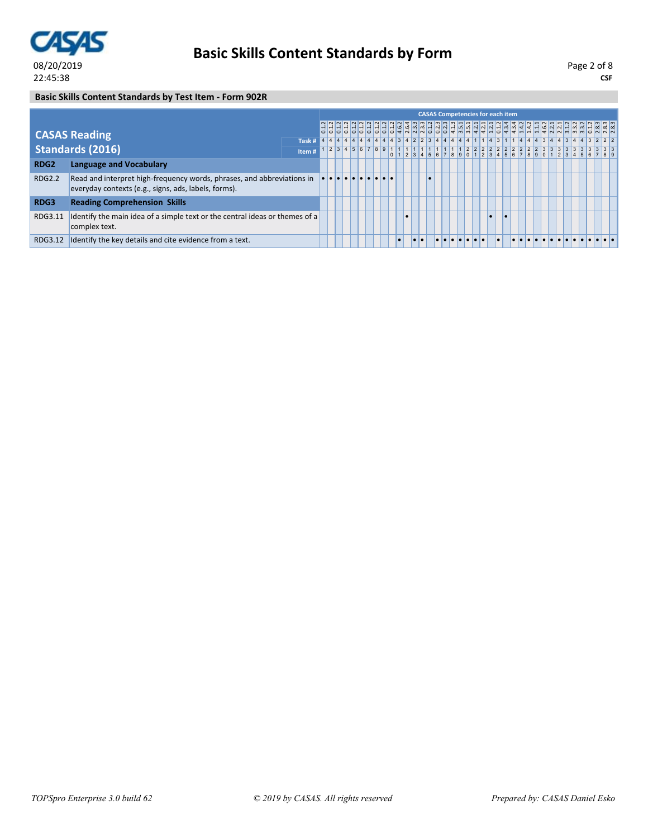

**CSF** Page 2 of 8

### **Basic Skills Content Standards by Test Item - Form 902R**

|                  |                                                                                                                                |       |  |  |  |                                   |  |  |  |  | <b>CASAS Competencies for each item</b> |  |  |  |  |  |  |
|------------------|--------------------------------------------------------------------------------------------------------------------------------|-------|--|--|--|-----------------------------------|--|--|--|--|-----------------------------------------|--|--|--|--|--|--|
|                  | <b>CASAS Reading</b>                                                                                                           |       |  |  |  |                                   |  |  |  |  |                                         |  |  |  |  |  |  |
|                  |                                                                                                                                |       |  |  |  |                                   |  |  |  |  |                                         |  |  |  |  |  |  |
|                  | Standards (2016)                                                                                                               | Item# |  |  |  |                                   |  |  |  |  |                                         |  |  |  |  |  |  |
| RDG <sub>2</sub> | <b>Language and Vocabulary</b>                                                                                                 |       |  |  |  |                                   |  |  |  |  |                                         |  |  |  |  |  |  |
| <b>RDG2.2</b>    | Read and interpret high-frequency words, phrases, and abbreviations in<br>everyday contexts (e.g., signs, ads, labels, forms). |       |  |  |  | <u>le le le le le le le le</u> le |  |  |  |  |                                         |  |  |  |  |  |  |
| RDG3             | <b>Reading Comprehension Skills</b>                                                                                            |       |  |  |  |                                   |  |  |  |  |                                         |  |  |  |  |  |  |
| RDG3.11          | Identify the main idea of a simple text or the central ideas or themes of a<br>complex text.                                   |       |  |  |  |                                   |  |  |  |  | $\bullet$                               |  |  |  |  |  |  |
| RDG3.12          | Identify the key details and cite evidence from a text.                                                                        |       |  |  |  |                                   |  |  |  |  |                                         |  |  |  |  |  |  |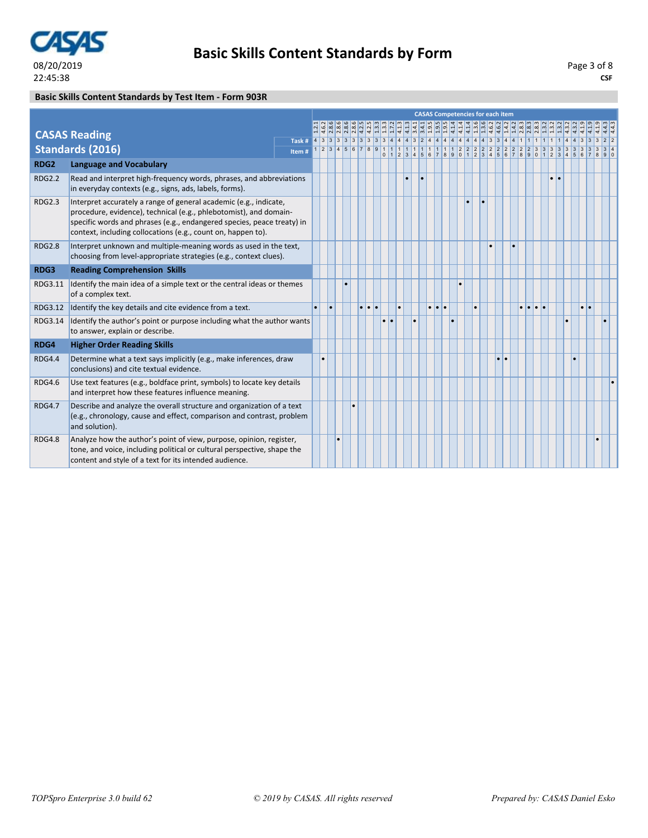

### **Basic Skills Content Standards by Test Item - Form 903R**

|                  |                                                                                                                                                                                                                                                                                  |       |   |  |   |           |           |  |                     | <b>CASAS Competencies for each item</b> |  |           |    |           |           |                     |           |                  |                  |  |  |
|------------------|----------------------------------------------------------------------------------------------------------------------------------------------------------------------------------------------------------------------------------------------------------------------------------|-------|---|--|---|-----------|-----------|--|---------------------|-----------------------------------------|--|-----------|----|-----------|-----------|---------------------|-----------|------------------|------------------|--|--|
|                  |                                                                                                                                                                                                                                                                                  |       |   |  |   |           |           |  |                     |                                         |  |           |    |           |           |                     |           | <u>  4 4 4 4</u> |                  |  |  |
|                  | <b>CASAS Reading</b>                                                                                                                                                                                                                                                             |       |   |  |   |           |           |  |                     |                                         |  |           |    |           |           |                     |           |                  |                  |  |  |
|                  | <b>Standards (2016)</b>                                                                                                                                                                                                                                                          | Item# |   |  |   |           |           |  |                     |                                         |  |           |    |           |           |                     |           |                  |                  |  |  |
| RDG <sub>2</sub> | <b>Language and Vocabulary</b>                                                                                                                                                                                                                                                   |       |   |  |   |           |           |  |                     |                                         |  |           |    |           |           |                     |           |                  |                  |  |  |
| <b>RDG2.2</b>    | Read and interpret high-frequency words, phrases, and abbreviations<br>in everyday contexts (e.g., signs, ads, labels, forms).                                                                                                                                                   |       |   |  |   |           |           |  |                     |                                         |  |           |    |           |           |                     | $\bullet$ |                  |                  |  |  |
| <b>RDG2.3</b>    | Interpret accurately a range of general academic (e.g., indicate,<br>procedure, evidence), technical (e.g., phlebotomist), and domain-<br>specific words and phrases (e.g., endangered species, peace treaty) in<br>context, including collocations (e.g., count on, happen to). |       |   |  |   |           |           |  |                     |                                         |  |           |    |           |           |                     |           |                  |                  |  |  |
| <b>RDG2.8</b>    | Interpret unknown and multiple-meaning words as used in the text,<br>choosing from level-appropriate strategies (e.g., context clues).                                                                                                                                           |       |   |  |   |           |           |  |                     |                                         |  |           |    | $\bullet$ |           |                     |           |                  |                  |  |  |
| RDG3             | <b>Reading Comprehension Skills</b>                                                                                                                                                                                                                                              |       |   |  |   |           |           |  |                     |                                         |  |           |    |           |           |                     |           |                  |                  |  |  |
| RDG3.11          | Identify the main idea of a simple text or the central ideas or themes<br>of a complex text.                                                                                                                                                                                     |       |   |  |   |           |           |  |                     |                                         |  |           |    |           |           |                     |           |                  |                  |  |  |
| RDG3.12          | Identify the key details and cite evidence from a text.                                                                                                                                                                                                                          |       | ۰ |  | . |           |           |  | $\cdot \cdot \cdot$ |                                         |  | $\bullet$ |    |           | $\bullet$ | $\bullet$ $\bullet$ |           |                  | $\bullet\bullet$ |  |  |
| RDG3.14          | Identify the author's point or purpose including what the author wants<br>to answer, explain or describe.                                                                                                                                                                        |       |   |  |   | $\bullet$ | $\bullet$ |  |                     |                                         |  |           |    |           |           |                     |           |                  |                  |  |  |
| RDG4             | <b>Higher Order Reading Skills</b>                                                                                                                                                                                                                                               |       |   |  |   |           |           |  |                     |                                         |  |           |    |           |           |                     |           |                  |                  |  |  |
| <b>RDG4.4</b>    | Determine what a text says implicitly (e.g., make inferences, draw<br>conclusions) and cite textual evidence.                                                                                                                                                                    |       |   |  |   |           |           |  |                     |                                         |  |           | I۰ | ١e        |           |                     |           |                  |                  |  |  |
| <b>RDG4.6</b>    | Use text features (e.g., boldface print, symbols) to locate key details<br>and interpret how these features influence meaning.                                                                                                                                                   |       |   |  |   |           |           |  |                     |                                         |  |           |    |           |           |                     |           |                  |                  |  |  |
| <b>RDG4.7</b>    | Describe and analyze the overall structure and organization of a text<br>(e.g., chronology, cause and effect, comparison and contrast, problem<br>and solution).                                                                                                                 |       |   |  |   |           |           |  |                     |                                         |  |           |    |           |           |                     |           |                  |                  |  |  |
| <b>RDG4.8</b>    | Analyze how the author's point of view, purpose, opinion, register,<br>tone, and voice, including political or cultural perspective, shape the<br>content and style of a text for its intended audience.                                                                         |       |   |  |   |           |           |  |                     |                                         |  |           |    |           |           |                     |           |                  |                  |  |  |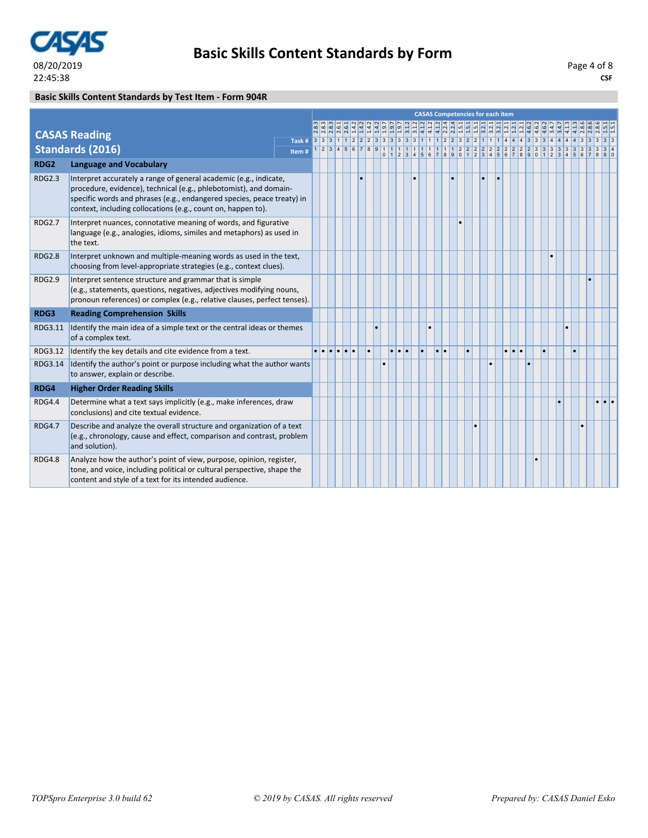

### **Basic Skills Content Standards by Test Item - Form 904R**

|                  |                                                                                                                                                                                                                                                                                  |       |  |               |  |  |  | <b>CASAS Competencies for each item</b> |                     |  |   |           |     |  |  |  |  |  |
|------------------|----------------------------------------------------------------------------------------------------------------------------------------------------------------------------------------------------------------------------------------------------------------------------------|-------|--|---------------|--|--|--|-----------------------------------------|---------------------|--|---|-----------|-----|--|--|--|--|--|
|                  |                                                                                                                                                                                                                                                                                  |       |  |               |  |  |  |                                         |                     |  |   |           |     |  |  |  |  |  |
|                  | <b>CASAS Reading</b>                                                                                                                                                                                                                                                             |       |  |               |  |  |  |                                         |                     |  |   |           |     |  |  |  |  |  |
|                  | <b>Standards (2016)</b>                                                                                                                                                                                                                                                          | Item# |  |               |  |  |  |                                         |                     |  |   |           |     |  |  |  |  |  |
| RDG <sub>2</sub> | <b>Language and Vocabulary</b>                                                                                                                                                                                                                                                   |       |  |               |  |  |  |                                         |                     |  |   |           |     |  |  |  |  |  |
| <b>RDG2.3</b>    | Interpret accurately a range of general academic (e.g., indicate,<br>procedure, evidence), technical (e.g., phlebotomist), and domain-<br>specific words and phrases (e.g., endangered species, peace treaty) in<br>context, including collocations (e.g., count on, happen to). |       |  |               |  |  |  |                                         |                     |  | ٠ |           |     |  |  |  |  |  |
| <b>RDG2.7</b>    | Interpret nuances, connotative meaning of words, and figurative<br>language (e.g., analogies, idioms, similes and metaphors) as used in<br>the text.                                                                                                                             |       |  |               |  |  |  |                                         |                     |  |   |           |     |  |  |  |  |  |
| <b>RDG2.8</b>    | Interpret unknown and multiple-meaning words as used in the text,<br>choosing from level-appropriate strategies (e.g., context clues).                                                                                                                                           |       |  |               |  |  |  |                                         |                     |  |   |           |     |  |  |  |  |  |
| <b>RDG2.9</b>    | Interpret sentence structure and grammar that is simple<br>(e.g., statements, questions, negatives, adjectives modifying nouns,<br>pronoun references) or complex (e.g., relative clauses, perfect tenses).                                                                      |       |  |               |  |  |  |                                         |                     |  |   |           |     |  |  |  |  |  |
| RDG3             | <b>Reading Comprehension Skills</b>                                                                                                                                                                                                                                              |       |  |               |  |  |  |                                         |                     |  |   |           |     |  |  |  |  |  |
| RDG3.11          | Identify the main idea of a simple text or the central ideas or themes<br>of a complex text.                                                                                                                                                                                     |       |  |               |  |  |  |                                         |                     |  |   |           |     |  |  |  |  |  |
| RDG3.12          | Identify the key details and cite evidence from a text.                                                                                                                                                                                                                          |       |  | e le le le le |  |  |  |                                         | $\bullet$ $\bullet$ |  |   |           | l۰. |  |  |  |  |  |
| RDG3.14          | Identify the author's point or purpose including what the author wants<br>to answer, explain or describe.                                                                                                                                                                        |       |  |               |  |  |  |                                         |                     |  |   | $\bullet$ |     |  |  |  |  |  |
| RDG4             | <b>Higher Order Reading Skills</b>                                                                                                                                                                                                                                               |       |  |               |  |  |  |                                         |                     |  |   |           |     |  |  |  |  |  |
| <b>RDG4.4</b>    | Determine what a text says implicitly (e.g., make inferences, draw<br>conclusions) and cite textual evidence.                                                                                                                                                                    |       |  |               |  |  |  |                                         |                     |  |   |           |     |  |  |  |  |  |
| <b>RDG4.7</b>    | Describe and analyze the overall structure and organization of a text<br>(e.g., chronology, cause and effect, comparison and contrast, problem<br>and solution).                                                                                                                 |       |  |               |  |  |  |                                         |                     |  |   |           |     |  |  |  |  |  |
| <b>RDG4.8</b>    | Analyze how the author's point of view, purpose, opinion, register,<br>tone, and voice, including political or cultural perspective, shape the<br>content and style of a text for its intended audience.                                                                         |       |  |               |  |  |  |                                         |                     |  |   |           |     |  |  |  |  |  |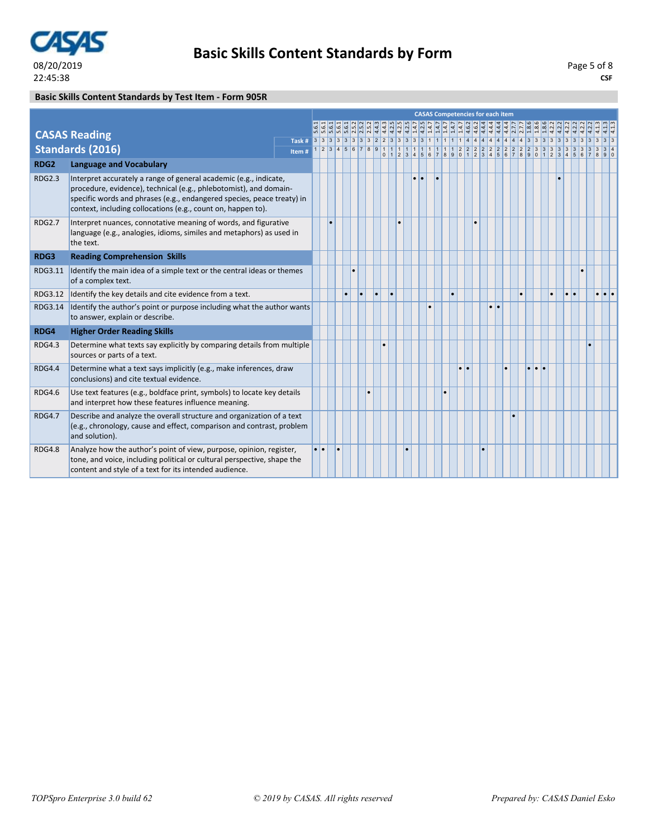

### **Basic Skills Content Standards by Test Item - Form 905R**

|                  |                                                                                                                                                                                                                                                                                  | <b>CASAS Competencies for each item</b><br>$\begin{array}{l} \mathbf{a} \mathbf{b} \mathbf{a} \mathbf{b} \mathbf{a} \mathbf{b} \mathbf{c} \mathbf{a} \mathbf{b} \mathbf{c} \mathbf{c} \mathbf{d} \mathbf{d} \mathbf{c} \mathbf{d} \mathbf{c} \mathbf{d} \mathbf{c} \mathbf{d} \mathbf{c} \mathbf{d} \mathbf{c} \mathbf{d} \mathbf{c} \mathbf{d} \mathbf{c} \mathbf{d} \mathbf{c} \mathbf{d} \mathbf{c} \mathbf{d} \mathbf{c} \mathbf{d} \mathbf{c} \mathbf{d} \mathbf$<br>Item#<br>٠ |  |                     |  |    |           |  |           |           |  |  |  |  |           |           |    |           |           |           |                 |           |                  |  |                     |  |
|------------------|----------------------------------------------------------------------------------------------------------------------------------------------------------------------------------------------------------------------------------------------------------------------------------|--------------------------------------------------------------------------------------------------------------------------------------------------------------------------------------------------------------------------------------------------------------------------------------------------------------------------------------------------------------------------------------------------------------------------------------------------------------------------------------|--|---------------------|--|----|-----------|--|-----------|-----------|--|--|--|--|-----------|-----------|----|-----------|-----------|-----------|-----------------|-----------|------------------|--|---------------------|--|
|                  |                                                                                                                                                                                                                                                                                  |                                                                                                                                                                                                                                                                                                                                                                                                                                                                                      |  |                     |  |    |           |  |           |           |  |  |  |  |           |           |    |           |           |           |                 |           |                  |  |                     |  |
|                  | <b>CASAS Reading</b>                                                                                                                                                                                                                                                             |                                                                                                                                                                                                                                                                                                                                                                                                                                                                                      |  |                     |  |    |           |  |           |           |  |  |  |  |           |           |    |           |           |           |                 |           |                  |  |                     |  |
|                  | <b>Standards (2016)</b>                                                                                                                                                                                                                                                          |                                                                                                                                                                                                                                                                                                                                                                                                                                                                                      |  |                     |  |    |           |  |           |           |  |  |  |  |           |           |    |           |           |           |                 |           |                  |  |                     |  |
| RDG <sub>2</sub> | <b>Language and Vocabulary</b>                                                                                                                                                                                                                                                   |                                                                                                                                                                                                                                                                                                                                                                                                                                                                                      |  |                     |  |    |           |  |           |           |  |  |  |  |           |           |    |           |           |           |                 |           |                  |  |                     |  |
| <b>RDG2.3</b>    | Interpret accurately a range of general academic (e.g., indicate,<br>procedure, evidence), technical (e.g., phlebotomist), and domain-<br>specific words and phrases (e.g., endangered species, peace treaty) in<br>context, including collocations (e.g., count on, happen to). |                                                                                                                                                                                                                                                                                                                                                                                                                                                                                      |  |                     |  |    |           |  |           |           |  |  |  |  |           |           |    |           |           |           |                 |           |                  |  |                     |  |
| <b>RDG2.7</b>    | Interpret nuances, connotative meaning of words, and figurative<br>language (e.g., analogies, idioms, similes and metaphors) as used in<br>the text.                                                                                                                             |                                                                                                                                                                                                                                                                                                                                                                                                                                                                                      |  |                     |  |    |           |  |           |           |  |  |  |  |           |           |    |           |           |           |                 |           |                  |  |                     |  |
| RDG3             | <b>Reading Comprehension Skills</b>                                                                                                                                                                                                                                              |                                                                                                                                                                                                                                                                                                                                                                                                                                                                                      |  |                     |  |    |           |  |           |           |  |  |  |  |           |           |    |           |           |           |                 |           |                  |  |                     |  |
| RDG3.11          | Identify the main idea of a simple text or the central ideas or themes<br>of a complex text.                                                                                                                                                                                     |                                                                                                                                                                                                                                                                                                                                                                                                                                                                                      |  |                     |  |    |           |  |           |           |  |  |  |  |           |           |    |           |           |           |                 |           |                  |  |                     |  |
| RDG3.12          | Identify the key details and cite evidence from a text.                                                                                                                                                                                                                          |                                                                                                                                                                                                                                                                                                                                                                                                                                                                                      |  |                     |  | l. | $\bullet$ |  | $\bullet$ | $\bullet$ |  |  |  |  |           | $\bullet$ |    |           |           |           |                 | $\bullet$ | $\bullet\bullet$ |  | $\bullet$ $\bullet$ |  |
| RDG3.14          | Identify the author's point or purpose including what the author wants<br>to answer, explain or describe.                                                                                                                                                                        |                                                                                                                                                                                                                                                                                                                                                                                                                                                                                      |  |                     |  |    |           |  |           |           |  |  |  |  |           |           |    | $\bullet$ | $\bullet$ |           |                 |           |                  |  |                     |  |
| RDG4             | <b>Higher Order Reading Skills</b>                                                                                                                                                                                                                                               |                                                                                                                                                                                                                                                                                                                                                                                                                                                                                      |  |                     |  |    |           |  |           |           |  |  |  |  |           |           |    |           |           |           |                 |           |                  |  |                     |  |
| <b>RDG4.3</b>    | Determine what texts say explicitly by comparing details from multiple<br>sources or parts of a text.                                                                                                                                                                            |                                                                                                                                                                                                                                                                                                                                                                                                                                                                                      |  |                     |  |    |           |  |           |           |  |  |  |  |           |           |    |           |           |           |                 |           |                  |  |                     |  |
| <b>RDG4.4</b>    | Determine what a text says implicitly (e.g., make inferences, draw<br>conclusions) and cite textual evidence.                                                                                                                                                                    |                                                                                                                                                                                                                                                                                                                                                                                                                                                                                      |  |                     |  |    |           |  |           |           |  |  |  |  |           | $\bullet$ | I۰ |           |           | $\bullet$ | $\bullet$<br>l. |           |                  |  |                     |  |
| <b>RDG4.6</b>    | Use text features (e.g., boldface print, symbols) to locate key details<br>and interpret how these features influence meaning.                                                                                                                                                   |                                                                                                                                                                                                                                                                                                                                                                                                                                                                                      |  |                     |  |    |           |  |           |           |  |  |  |  | $\bullet$ |           |    |           |           |           |                 |           |                  |  |                     |  |
| <b>RDG4.7</b>    | Describe and analyze the overall structure and organization of a text<br>(e.g., chronology, cause and effect, comparison and contrast, problem<br>and solution).                                                                                                                 |                                                                                                                                                                                                                                                                                                                                                                                                                                                                                      |  |                     |  |    |           |  |           |           |  |  |  |  |           |           |    |           |           |           |                 |           |                  |  |                     |  |
| <b>RDG4.8</b>    | Analyze how the author's point of view, purpose, opinion, register,<br>tone, and voice, including political or cultural perspective, shape the<br>content and style of a text for its intended audience.                                                                         |                                                                                                                                                                                                                                                                                                                                                                                                                                                                                      |  | $\bullet$ $\bullet$ |  |    |           |  |           |           |  |  |  |  |           |           |    |           |           |           |                 |           |                  |  |                     |  |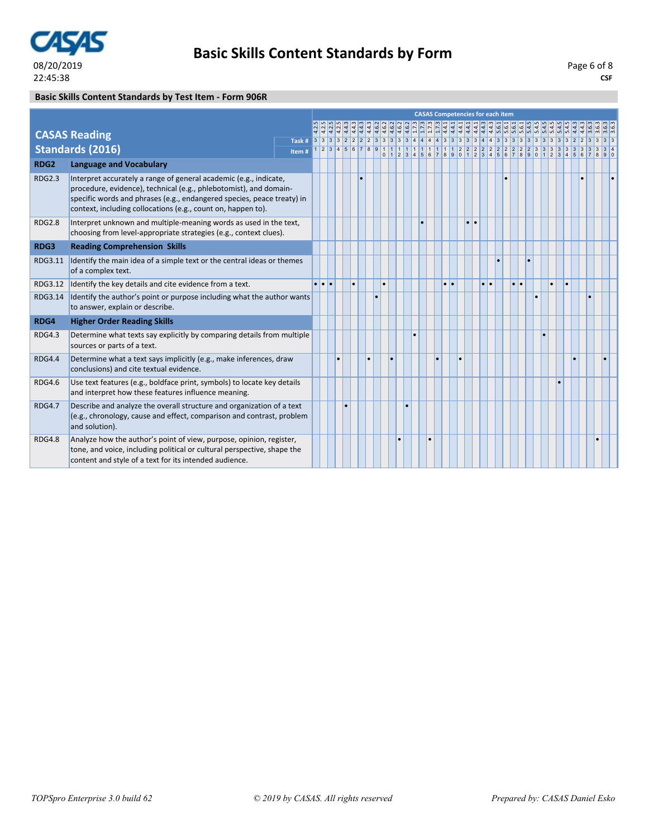

### **Basic Skills Content Standards by Test Item - Form 906R**

|                  |                                                                                                                                                                                                                                                                                  |        |         |           |    |   |           |           |  | <b>CASAS Competencies for each item</b> |                 |           |                  |    |    |           |    |  |           |           |  |  |
|------------------|----------------------------------------------------------------------------------------------------------------------------------------------------------------------------------------------------------------------------------------------------------------------------------|--------|---------|-----------|----|---|-----------|-----------|--|-----------------------------------------|-----------------|-----------|------------------|----|----|-----------|----|--|-----------|-----------|--|--|
|                  |                                                                                                                                                                                                                                                                                  |        |         |           |    |   |           |           |  |                                         |                 |           |                  |    |    |           |    |  |           |           |  |  |
|                  | <b>CASAS Reading</b>                                                                                                                                                                                                                                                             | Task # |         |           |    |   |           |           |  |                                         |                 |           |                  |    |    |           |    |  |           |           |  |  |
|                  | <b>Standards (2016)</b>                                                                                                                                                                                                                                                          | Item#  |         |           |    |   |           |           |  |                                         |                 |           |                  |    |    |           |    |  |           |           |  |  |
| RDG <sub>2</sub> | <b>Language and Vocabulary</b>                                                                                                                                                                                                                                                   |        |         |           |    |   |           |           |  |                                         |                 |           |                  |    |    |           |    |  |           |           |  |  |
| <b>RDG2.3</b>    | Interpret accurately a range of general academic (e.g., indicate,<br>procedure, evidence), technical (e.g., phlebotomist), and domain-<br>specific words and phrases (e.g., endangered species, peace treaty) in<br>context, including collocations (e.g., count on, happen to). |        |         |           |    |   |           |           |  |                                         |                 |           |                  |    |    |           |    |  |           |           |  |  |
| <b>RDG2.8</b>    | Interpret unknown and multiple-meaning words as used in the text,<br>choosing from level-appropriate strategies (e.g., context clues).                                                                                                                                           |        |         |           |    |   |           |           |  |                                         |                 |           | $\bullet\bullet$ |    |    |           |    |  |           |           |  |  |
| RDG3             | <b>Reading Comprehension Skills</b>                                                                                                                                                                                                                                              |        |         |           |    |   |           |           |  |                                         |                 |           |                  |    |    |           |    |  |           |           |  |  |
| RDG3.11          | Identify the main idea of a simple text or the central ideas or themes<br>of a complex text.                                                                                                                                                                                     |        |         |           |    |   |           |           |  |                                         |                 |           |                  |    |    |           |    |  |           |           |  |  |
| RDG3.12          | Identify the key details and cite evidence from a text.                                                                                                                                                                                                                          |        | a la la |           | ۱. |   | $\bullet$ |           |  |                                         | $\cdot$ $\cdot$ |           |                  | ×. | ı. | $\bullet$ | I۰ |  | $\bullet$ | $\bullet$ |  |  |
| RDG3.14          | Identify the author's point or purpose including what the author wants<br>to answer, explain or describe.                                                                                                                                                                        |        |         |           |    |   |           |           |  |                                         |                 |           |                  |    |    |           |    |  |           |           |  |  |
| RDG4             | <b>Higher Order Reading Skills</b>                                                                                                                                                                                                                                               |        |         |           |    |   |           |           |  |                                         |                 |           |                  |    |    |           |    |  |           |           |  |  |
| <b>RDG4.3</b>    | Determine what texts say explicitly by comparing details from multiple<br>sources or parts of a text.                                                                                                                                                                            |        |         |           |    |   |           |           |  |                                         |                 |           |                  |    |    |           |    |  |           |           |  |  |
| <b>RDG4.4</b>    | Determine what a text says implicitly (e.g., make inferences, draw<br>conclusions) and cite textual evidence.                                                                                                                                                                    |        |         | $\bullet$ |    | ٠ |           | $\bullet$ |  |                                         |                 | $\bullet$ |                  |    |    |           |    |  |           |           |  |  |
| <b>RDG4.6</b>    | Use text features (e.g., boldface print, symbols) to locate key details<br>and interpret how these features influence meaning.                                                                                                                                                   |        |         |           |    |   |           |           |  |                                         |                 |           |                  |    |    |           |    |  |           |           |  |  |
| <b>RDG4.7</b>    | Describe and analyze the overall structure and organization of a text<br>(e.g., chronology, cause and effect, comparison and contrast, problem<br>and solution).                                                                                                                 |        |         |           |    |   |           |           |  |                                         |                 |           |                  |    |    |           |    |  |           |           |  |  |
| <b>RDG4.8</b>    | Analyze how the author's point of view, purpose, opinion, register,<br>tone, and voice, including political or cultural perspective, shape the<br>content and style of a text for its intended audience.                                                                         |        |         |           |    |   |           |           |  |                                         |                 |           |                  |    |    |           |    |  |           |           |  |  |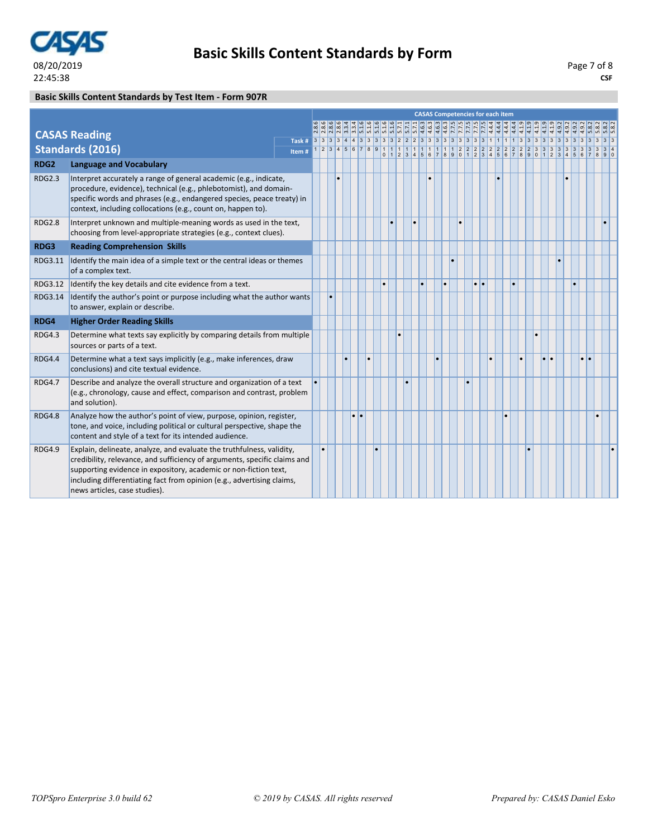

### **Basic Skills Content Standards by Test Item - Form 907R**

|                  |                                                                                                                                                                                                                                                                                                                                   |       |  |           |   |           |           |           |  |  |  |                  |           | <b>CASAS Competencies for each item</b> |           |           |           |  |                  |  |  |
|------------------|-----------------------------------------------------------------------------------------------------------------------------------------------------------------------------------------------------------------------------------------------------------------------------------------------------------------------------------|-------|--|-----------|---|-----------|-----------|-----------|--|--|--|------------------|-----------|-----------------------------------------|-----------|-----------|-----------|--|------------------|--|--|
|                  |                                                                                                                                                                                                                                                                                                                                   |       |  |           |   |           |           |           |  |  |  |                  |           |                                         |           |           |           |  |                  |  |  |
|                  | <b>CASAS Reading</b>                                                                                                                                                                                                                                                                                                              |       |  |           |   |           |           |           |  |  |  |                  |           |                                         |           |           |           |  |                  |  |  |
|                  | <b>Standards (2016)</b>                                                                                                                                                                                                                                                                                                           | Item# |  |           |   |           |           |           |  |  |  |                  |           |                                         |           |           |           |  |                  |  |  |
| RDG <sub>2</sub> | <b>Language and Vocabulary</b>                                                                                                                                                                                                                                                                                                    |       |  |           |   |           |           |           |  |  |  |                  |           |                                         |           |           |           |  |                  |  |  |
| <b>RDG2.3</b>    | Interpret accurately a range of general academic (e.g., indicate,<br>procedure, evidence), technical (e.g., phlebotomist), and domain-<br>specific words and phrases (e.g., endangered species, peace treaty) in<br>context, including collocations (e.g., count on, happen to).                                                  |       |  |           |   |           |           |           |  |  |  |                  |           |                                         |           |           |           |  |                  |  |  |
| <b>RDG2.8</b>    | Interpret unknown and multiple-meaning words as used in the text,<br>choosing from level-appropriate strategies (e.g., context clues).                                                                                                                                                                                            |       |  |           |   |           | $\bullet$ |           |  |  |  |                  |           |                                         |           |           |           |  |                  |  |  |
| RDG3             | <b>Reading Comprehension Skills</b>                                                                                                                                                                                                                                                                                               |       |  |           |   |           |           |           |  |  |  |                  |           |                                         |           |           |           |  |                  |  |  |
| RDG3.11          | Identify the main idea of a simple text or the central ideas or themes<br>of a complex text.                                                                                                                                                                                                                                      |       |  |           |   |           |           |           |  |  |  |                  |           |                                         |           |           |           |  |                  |  |  |
|                  | RDG3.12 Identify the key details and cite evidence from a text.                                                                                                                                                                                                                                                                   |       |  |           |   | $\bullet$ |           |           |  |  |  | $\bullet\bullet$ |           |                                         | $\bullet$ |           |           |  |                  |  |  |
| RDG3.14          | Identify the author's point or purpose including what the author wants<br>to answer, explain or describe.                                                                                                                                                                                                                         |       |  |           |   |           |           |           |  |  |  |                  |           |                                         |           |           |           |  |                  |  |  |
| RDG4             | <b>Higher Order Reading Skills</b>                                                                                                                                                                                                                                                                                                |       |  |           |   |           |           |           |  |  |  |                  |           |                                         |           |           |           |  |                  |  |  |
| <b>RDG4.3</b>    | Determine what texts say explicitly by comparing details from multiple<br>sources or parts of a text.                                                                                                                                                                                                                             |       |  |           |   |           |           | $\bullet$ |  |  |  |                  |           |                                         |           |           |           |  |                  |  |  |
| <b>RDG4.4</b>    | Determine what a text says implicitly (e.g., make inferences, draw<br>conclusions) and cite textual evidence.                                                                                                                                                                                                                     |       |  |           | ٠ |           |           |           |  |  |  |                  | $\bullet$ |                                         |           | $\bullet$ | $\bullet$ |  | $\bullet\bullet$ |  |  |
| <b>RDG4.7</b>    | Describe and analyze the overall structure and organization of a text<br>(e.g., chronology, cause and effect, comparison and contrast, problem<br>and solution).                                                                                                                                                                  |       |  |           |   |           |           |           |  |  |  |                  |           |                                         |           |           |           |  |                  |  |  |
| <b>RDG4.8</b>    | Analyze how the author's point of view, purpose, opinion, register,<br>tone, and voice, including political or cultural perspective, shape the<br>content and style of a text for its intended audience.                                                                                                                          |       |  | $\bullet$ |   |           |           |           |  |  |  |                  |           |                                         | $\bullet$ |           |           |  |                  |  |  |
| <b>RDG4.9</b>    | Explain, delineate, analyze, and evaluate the truthfulness, validity,<br>credibility, relevance, and sufficiency of arguments, specific claims and<br>supporting evidence in expository, academic or non-fiction text,<br>including differentiating fact from opinion (e.g., advertising claims,<br>news articles, case studies). |       |  |           |   |           |           |           |  |  |  |                  |           |                                         |           |           |           |  |                  |  |  |